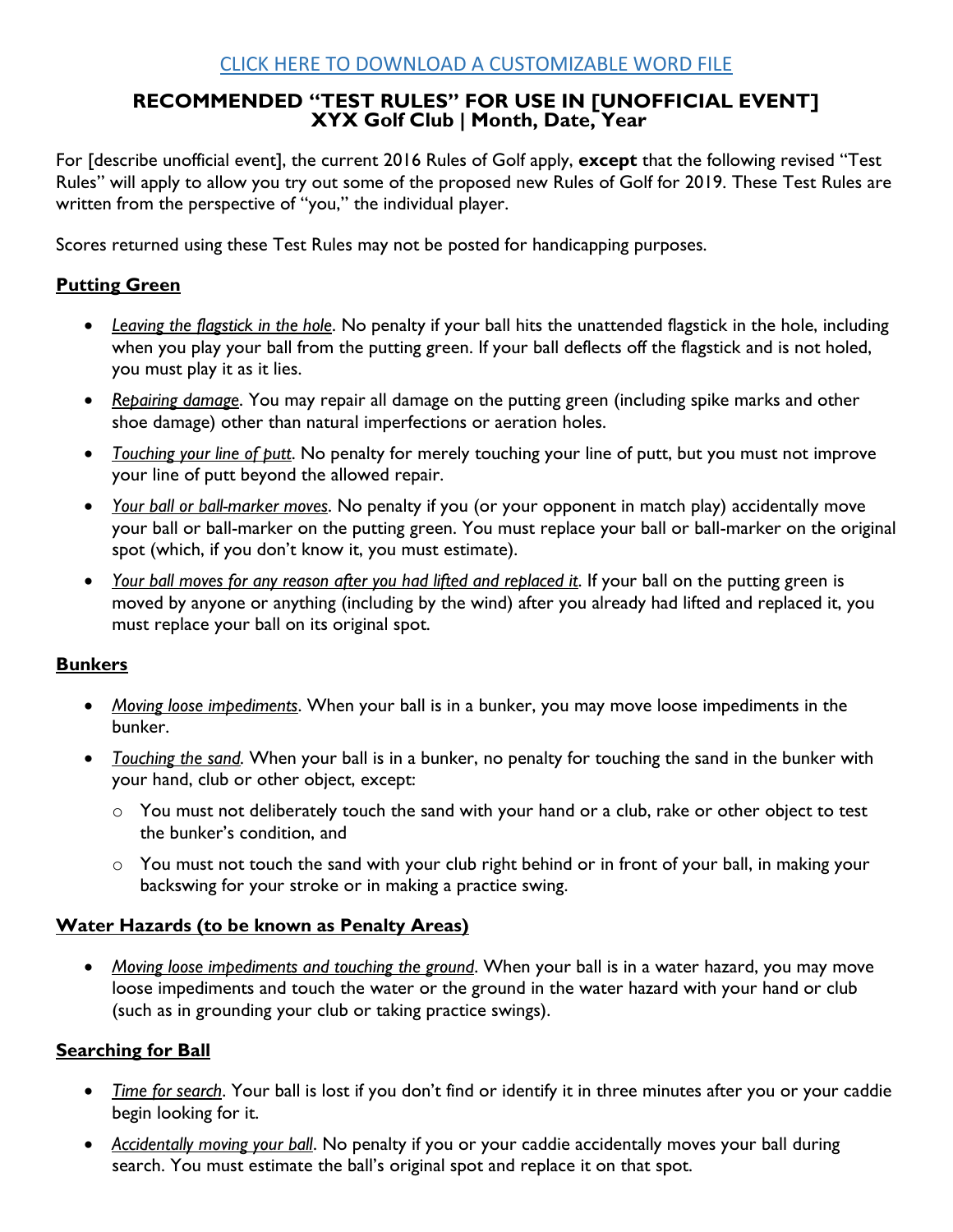## **RECOMMENDED "TEST RULES" FOR USE IN [UNOFFICIAL EVENT] XYX Golf Club | Month, Date, Year**

For [describe unofficial event], the current 2016 Rules of Golf apply, **except** that the following revised "Test Rules" will apply to allow you try out some of the proposed new Rules of Golf for 2019. These Test Rules are written from the perspective of "you," the individual player.

Scores returned using these Test Rules may not be posted for handicapping purposes.

# **Putting Green**

- *Leaving the flagstick in the hole*. No penalty if your ball hits the unattended flagstick in the hole, including when you play your ball from the putting green. If your ball deflects off the flagstick and is not holed, you must play it as it lies.
- *Repairing damage*. You may repair all damage on the putting green (including spike marks and other shoe damage) other than natural imperfections or aeration holes.
- *Touching your line of putt*. No penalty for merely touching your line of putt, but you must not improve your line of putt beyond the allowed repair.
- *Your ball or ball-marker moves*. No penalty if you (or your opponent in match play) accidentally move your ball or ball-marker on the putting green. You must replace your ball or ball-marker on the original spot (which, if you don't know it, you must estimate).
- *Your ball moves for any reason after you had lifted and replaced it*. If your ball on the putting green is moved by anyone or anything (including by the wind) after you already had lifted and replaced it, you must replace your ball on its original spot.

#### **Bunkers**

- *Moving loose impediments*. When your ball is in a bunker, you may move loose impediments in the bunker.
- *Touching the sand.* When your ball is in a bunker, no penalty for touching the sand in the bunker with your hand, club or other object, except:
	- o You must not deliberately touch the sand with your hand or a club, rake or other object to test the bunker's condition, and
	- o You must not touch the sand with your club right behind or in front of your ball, in making your backswing for your stroke or in making a practice swing.

#### **Water Hazards (to be known as Penalty Areas)**

 *Moving loose impediments and touching the ground*. When your ball is in a water hazard, you may move loose impediments and touch the water or the ground in the water hazard with your hand or club (such as in grounding your club or taking practice swings).

#### **Searching for Ball**

- *Time for search*. Your ball is lost if you don't find or identify it in three minutes after you or your caddie begin looking for it.
- *Accidentally moving your ball*. No penalty if you or your caddie accidentally moves your ball during search. You must estimate the ball's original spot and replace it on that spot.